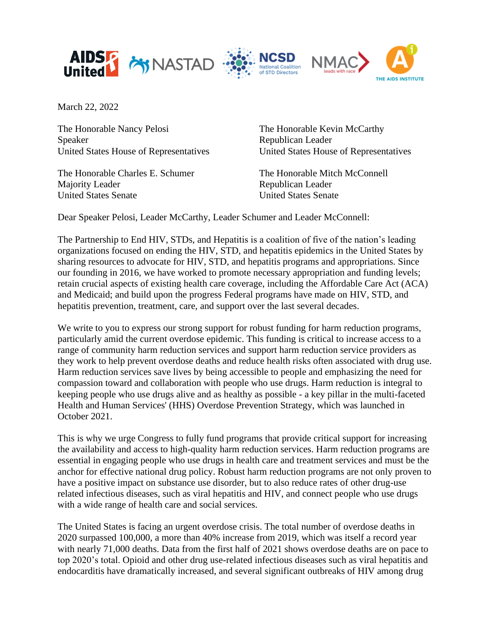

March 22, 2022

The Honorable Nancy Pelosi Speaker United States House of Representatives

The Honorable Charles E. Schumer Majority Leader United States Senate

The Honorable Kevin McCarthy Republican Leader United States House of Representatives

The Honorable Mitch McConnell Republican Leader United States Senate

Dear Speaker Pelosi, Leader McCarthy, Leader Schumer and Leader McConnell:

The Partnership to End HIV, STDs, and Hepatitis is a coalition of five of the nation's leading organizations focused on ending the HIV, STD, and hepatitis epidemics in the United States by sharing resources to advocate for HIV, STD, and hepatitis programs and appropriations. Since our founding in 2016, we have worked to promote necessary appropriation and funding levels; retain crucial aspects of existing health care coverage, including the Affordable Care Act (ACA) and Medicaid; and build upon the progress Federal programs have made on HIV, STD, and hepatitis prevention, treatment, care, and support over the last several decades.

We write to you to express our strong support for robust funding for harm reduction programs, particularly amid the current overdose epidemic. This funding is critical to increase access to a range of community harm reduction services and support harm reduction service providers as they work to help prevent overdose deaths and reduce health risks often associated with drug use. Harm reduction services save lives by being accessible to people and emphasizing the need for compassion toward and collaboration with people who use drugs. Harm reduction is integral to keeping people who use drugs alive and as healthy as possible - a key pillar in the multi-faceted Health and Human Services' (HHS) Overdose Prevention Strategy, which was launched in October 2021.

This is why we urge Congress to fully fund programs that provide critical support for increasing the availability and access to high-quality harm reduction services. Harm reduction programs are essential in engaging people who use drugs in health care and treatment services and must be the anchor for effective national drug policy. Robust harm reduction programs are not only proven to have a positive impact on substance use disorder, but to also reduce rates of other drug-use related infectious diseases, such as viral hepatitis and HIV, and connect people who use drugs with a wide range of health care and social services.

The United States is facing an urgent overdose crisis. The total number of overdose deaths in 2020 surpassed 100,000, a more than 40% increase from 2019, which was itself a record year with nearly 71,000 deaths. Data from the first half of 2021 shows overdose deaths are on pace to top 2020's total. Opioid and other drug use-related infectious diseases such as viral hepatitis and endocarditis have dramatically increased, and several significant outbreaks of HIV among drug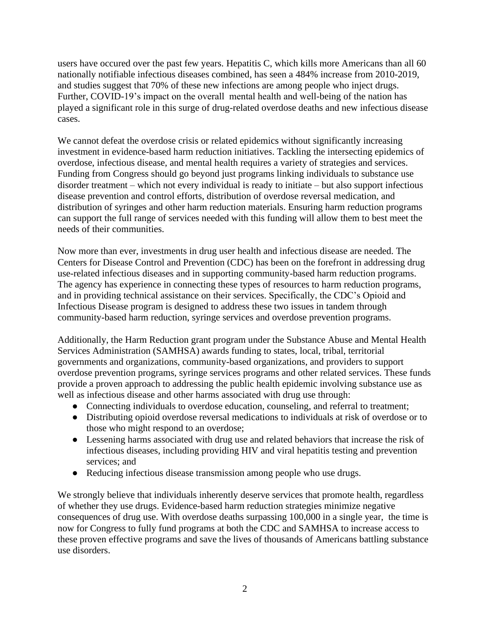users have occured over the past few years. Hepatitis C, which kills more Americans than all 60 nationally notifiable infectious diseases combined, has seen a 484% increase from 2010-2019, and studies suggest that 70% of these new infections are among people who inject drugs. Further, COVID-19's impact on the overall mental health and well-being of the nation has played a significant role in this surge of drug-related overdose deaths and new infectious disease cases.

We cannot defeat the overdose crisis or related epidemics without significantly increasing investment in evidence-based harm reduction initiatives. Tackling the intersecting epidemics of overdose, infectious disease, and mental health requires a variety of strategies and services. Funding from Congress should go beyond just programs linking individuals to substance use disorder treatment – which not every individual is ready to initiate – but also support infectious disease prevention and control efforts, distribution of overdose reversal medication, and distribution of syringes and other harm reduction materials. Ensuring harm reduction programs can support the full range of services needed with this funding will allow them to best meet the needs of their communities.

Now more than ever, investments in drug user health and infectious disease are needed. The Centers for Disease Control and Prevention (CDC) has been on the forefront in addressing drug use-related infectious diseases and in supporting community-based harm reduction programs. The agency has experience in connecting these types of resources to harm reduction programs, and in providing technical assistance on their services. Specifically, the CDC's Opioid and Infectious Disease program is designed to address these two issues in tandem through community-based harm reduction, syringe services and overdose prevention programs.

Additionally, the Harm Reduction grant program under the Substance Abuse and Mental Health Services Administration (SAMHSA) awards funding to states, local, tribal, territorial governments and organizations, community-based organizations, and providers to support overdose prevention programs, syringe services programs and other related services. These funds provide a proven approach to addressing the public health epidemic involving substance use as well as infectious disease and other harms associated with drug use through:

- Connecting individuals to overdose education, counseling, and referral to treatment;
- Distributing opioid overdose reversal medications to individuals at risk of overdose or to those who might respond to an overdose;
- Lessening harms associated with drug use and related behaviors that increase the risk of infectious diseases, including providing HIV and viral hepatitis testing and prevention services; and
- Reducing infectious disease transmission among people who use drugs.

We strongly believe that individuals inherently deserve services that promote health, regardless of whether they use drugs. Evidence-based harm reduction strategies minimize negative consequences of drug use. With overdose deaths surpassing 100,000 in a single year, the time is now for Congress to fully fund programs at both the CDC and SAMHSA to increase access to these proven effective programs and save the lives of thousands of Americans battling substance use disorders.